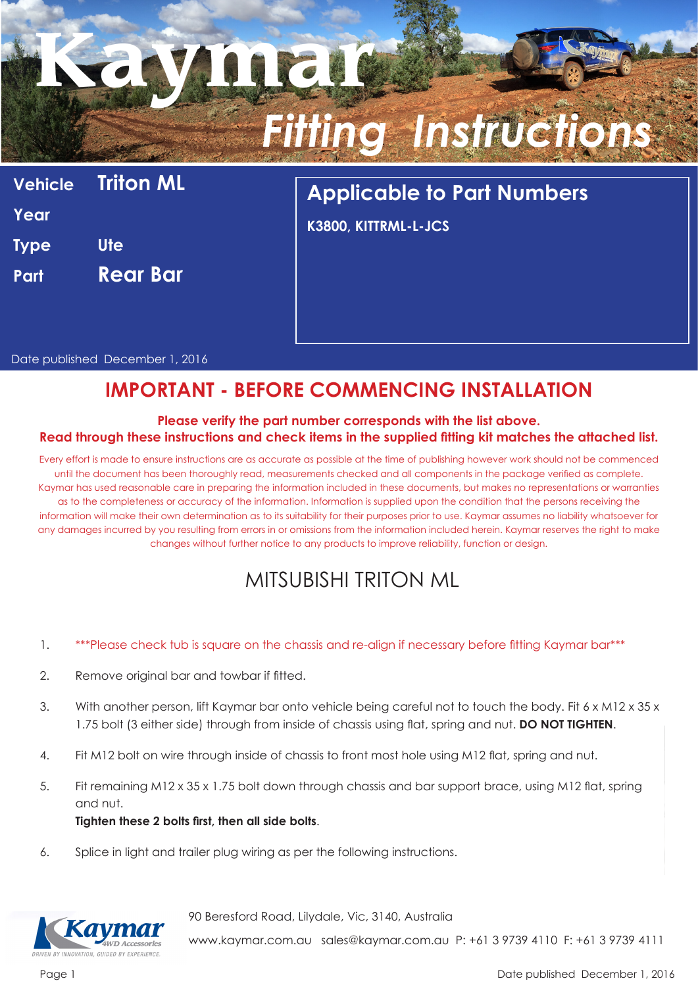# **Kaymar** *Fitting Instructions*

|             | <b>Vehicle Triton ML</b> |
|-------------|--------------------------|
| Year        |                          |
| <b>Type</b> | Ute                      |
| Part        | <b>Rear Bar</b>          |
|             |                          |

## **Applicable to Part Numbers**

**K3800, KITTRML-L-JCS**

Date published December 1, 2016

### **IMPORTANT - BEFORE COMMENCING INSTALLATION**

#### **Please verify the part number corresponds with the list above. Read through these instructions and check items in the supplied fitting kit matches the attached list.**

Every effort is made to ensure instructions are as accurate as possible at the time of publishing however work should not be commenced until the document has been thoroughly read, measurements checked and all components in the package verified as complete. Kaymar has used reasonable care in preparing the information included in these documents, but makes no representations or warranties as to the completeness or accuracy of the information. Information is supplied upon the condition that the persons receiving the information will make their own determination as to its suitability for their purposes prior to use. Kaymar assumes no liability whatsoever for any damages incurred by you resulting from errors in or omissions from the information included herein. Kaymar reserves the right to make changes without further notice to any products to improve reliability, function or design.

### MITSUBISHI TRITON ML

- 1. \*\*\*Please check tub is square on the chassis and re-align if necessary before fitting Kaymar bar\*\*\*
- 2. Remove original bar and towbar if fitted.
- 3. With another person, lift Kaymar bar onto vehicle being careful not to touch the body. Fit 6 x M12 x 35 x 1.75 bolt (3 either side) through from inside of chassis using flat, spring and nut. **DO NOT TIGHTEN**.
- 4. Fit M12 bolt on wire through inside of chassis to front most hole using M12 flat, spring and nut.
- 5. Fit remaining M12 x 35 x 1.75 bolt down through chassis and bar support brace, using M12 flat, spring and nut. **Tighten these 2 bolts first, then all side bolts**.
- 6. Splice in light and trailer plug wiring as per the following instructions.



90 Beresford Road, Lilydale, Vic, 3140, Australia

www.kaymar.com.au sales@kaymar.com.au P: +61 3 9739 4110 F: +61 3 9739 4111